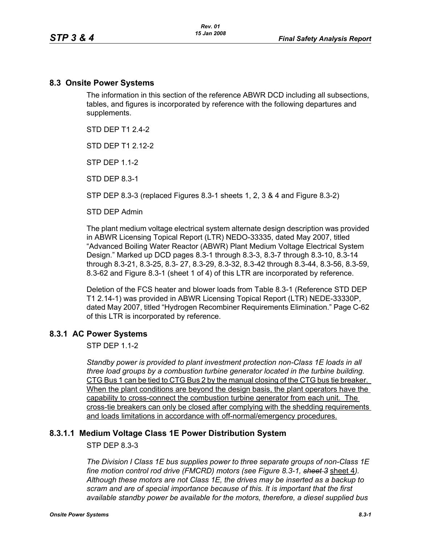#### **8.3 Onsite Power Systems**

The information in this section of the reference ABWR DCD including all subsections, tables, and figures is incorporated by reference with the following departures and supplements.

STD DFP T1 2 4-2

STD DFP T1 2 12-2

STP DEP 1.1-2

STD DEP 8.3-1

STP DEP 8.3-3 (replaced Figures 8.3-1 sheets 1, 2, 3 & 4 and Figure 8.3-2)

STD DEP Admin

The plant medium voltage electrical system alternate design description was provided in ABWR Licensing Topical Report (LTR) NEDO-33335, dated May 2007, titled "Advanced Boiling Water Reactor (ABWR) Plant Medium Voltage Electrical System Design." Marked up DCD pages 8.3-1 through 8.3-3, 8.3-7 through 8.3-10, 8.3-14 through 8.3-21, 8.3-25, 8.3- 27, 8.3-29, 8.3-32, 8.3-42 through 8.3-44, 8.3-56, 8.3-59, 8.3-62 and Figure 8.3-1 (sheet 1 of 4) of this LTR are incorporated by reference.

Deletion of the FCS heater and blower loads from Table 8.3-1 (Reference STD DEP T1 2.14-1) was provided in ABWR Licensing Topical Report (LTR) NEDE-33330P, dated May 2007, titled "Hydrogen Recombiner Requirements Elimination." Page C-62 of this LTR is incorporated by reference.

## **8.3.1 AC Power Systems**

 $STP$  DEP 11-2

*Standby power is provided to plant investment protection non-Class 1E loads in all three load groups by a combustion turbine generator located in the turbine building.* CTG Bus 1 can be tied to CTG Bus 2 by the manual closing of the CTG bus tie breaker. When the plant conditions are beyond the design basis, the plant operators have the capability to cross-connect the combustion turbine generator from each unit. The cross-tie breakers can only be closed after complying with the shedding requirements and loads limitations in accordance with off-normal/emergency procedures.

## **8.3.1.1 Medium Voltage Class 1E Power Distribution System**

STP DEP 8.3-3

*The Division I Class 1E bus supplies power to three separate groups of non-Class 1E fine motion control rod drive (FMCRD) motors (see Figure 8.3-1, sheet 3* sheet 4*). Although these motors are not Class 1E, the drives may be inserted as a backup to scram and are of special importance because of this. It is important that the first available standby power be available for the motors, therefore, a diesel supplied bus*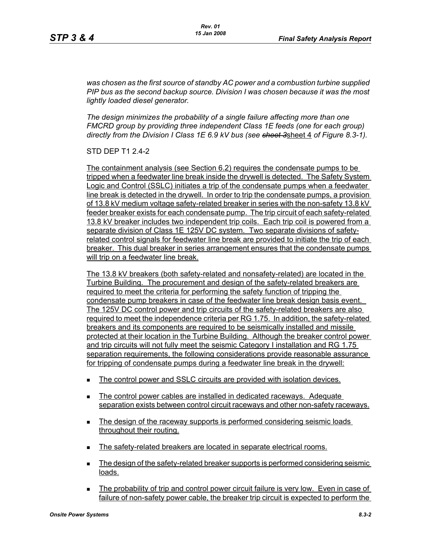*was chosen as the first source of standby AC power and a combustion turbine supplied PIP bus as the second backup source. Division I was chosen because it was the most lightly loaded diesel generator.*

*The design minimizes the probability of a single failure affecting more than one FMCRD group by providing three independent Class 1E feeds (one for each group) directly from the Division I Class 1E 6.9 kV bus (see sheet 3*sheet 4 *of Figure 8.3-1).*

STD DEP T1 2.4-2

The containment analysis (see Section 6.2) requires the condensate pumps to be tripped when a feedwater line break inside the drywell is detected. The Safety System Logic and Control (SSLC) initiates a trip of the condensate pumps when a feedwater line break is detected in the drywell. In order to trip the condensate pumps, a provision of 13.8 kV medium voltage safety-related breaker in series with the non-safety 13.8 kV feeder breaker exists for each condensate pump. The trip circuit of each safety-related 13.8 kV breaker includes two independent trip coils. Each trip coil is powered from a separate division of Class 1E 125V DC system. Two separate divisions of safetyrelated control signals for feedwater line break are provided to initiate the trip of each breaker. This dual breaker in series arrangement ensures that the condensate pumps will trip on a feedwater line break.

The 13.8 kV breakers (both safety-related and nonsafety-related) are located in the Turbine Building. The procurement and design of the safety-related breakers are required to meet the criteria for performing the safety function of tripping the condensate pump breakers in case of the feedwater line break design basis event. The 125V DC control power and trip circuits of the safety-related breakers are also required to meet the independence criteria per RG 1.75. In addition, the safety-related breakers and its components are required to be seismically installed and missile protected at their location in the Turbine Building. Although the breaker control power and trip circuits will not fully meet the seismic Category I installation and RG 1.75 separation requirements, the following considerations provide reasonable assurance for tripping of condensate pumps during a feedwater line break in the drywell:

- The control power and SSLC circuits are provided with isolation devices.
- The control power cables are installed in dedicated raceways. Adequate separation exists between control circuit raceways and other non-safety raceways.
- The design of the raceway supports is performed considering seismic loads throughout their routing.
- The safety-related breakers are located in separate electrical rooms.
- **The design of the safety-related breaker supports is performed considering seismic** loads.
- The probability of trip and control power circuit failure is very low. Even in case of failure of non-safety power cable, the breaker trip circuit is expected to perform the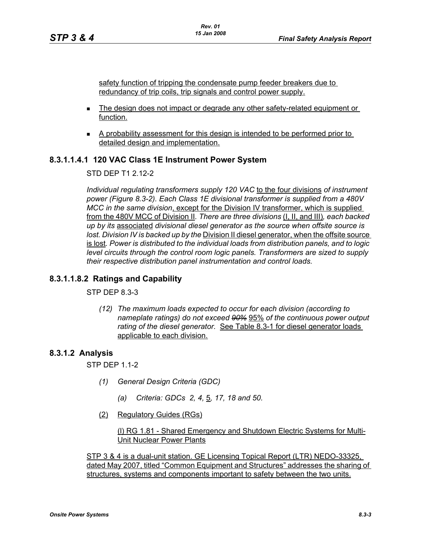safety function of tripping the condensate pump feeder breakers due to redundancy of trip coils, trip signals and control power supply.

- The design does not impact or degrade any other safety-related equipment or function.
- A probability assessment for this design is intended to be performed prior to detailed design and implementation.

### **8.3.1.1.4.1 120 VAC Class 1E Instrument Power System**

#### STD DEP T1 2.12-2

*Individual regulating transformers supply 120 VAC* to the four divisions *of instrument power (Figure 8.3-2). Each Class 1E divisional transformer is supplied from a 480V MCC in the same division*, except for the Division IV transformer, which is supplied from the 480V MCC of Division II*. There are three divisions* (I, II, and III)*, each backed up by its* associated *divisional diesel generator as the source when offsite source is lost. Division IV is backed up by the Division II diesel generator, when the offsite source* is lost*. Power is distributed to the individual loads from distribution panels, and to logic level circuits through the control room logic panels. Transformers are sized to supply their respective distribution panel instrumentation and control loads.*

#### **8.3.1.1.8.2 Ratings and Capability**

STP DEP 8.3-3

*(12) The maximum loads expected to occur for each division (according to nameplate ratings) do not exceed 90%* 95% *of the continuous power output rating of the diesel generator.* See Table 8.3-1 for diesel generator loads applicable to each division.

#### **8.3.1.2 Analysis**

STP DEP 1.1-2

- *(1) General Design Criteria (GDC)*
	- *(a) Criteria: GDCs 2, 4,* 5*, 17, 18 and 50.*
- (2) Regulatory Guides (RGs)

(l) RG 1.81 - Shared Emergency and Shutdown Electric Systems for Multi-Unit Nuclear Power Plants

STP 3 & 4 is a dual-unit station. GE Licensing Topical Report (LTR) NEDO-33325, dated May 2007, titled "Common Equipment and Structures" addresses the sharing of structures, systems and components important to safety between the two units.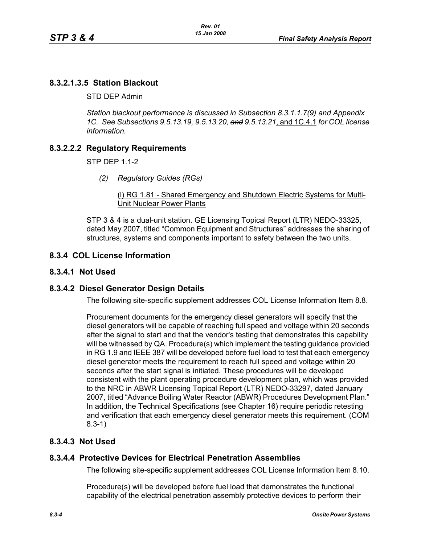## **8.3.2.1.3.5 Station Blackout**

STD DEP Admin

*Station blackout performance is discussed in Subsection 8.3.1.1.7(9) and Appendix 1C. See Subsections 9.5.13.19, 9.5.13.20, and 9.5.13.21*, and 1C.4.1 *for COL license information.*

## **8.3.2.2.2 Regulatory Requirements**

STP DEP 1.1-2

*(2) Regulatory Guides (RGs)*

(l) RG 1.81 - Shared Emergency and Shutdown Electric Systems for Multi-Unit Nuclear Power Plants

STP 3 & 4 is a dual-unit station. GE Licensing Topical Report (LTR) NEDO-33325, dated May 2007, titled "Common Equipment and Structures" addresses the sharing of structures, systems and components important to safety between the two units.

## **8.3.4 COL License Information**

### **8.3.4.1 Not Used**

## **8.3.4.2 Diesel Generator Design Details**

The following site-specific supplement addresses COL License Information Item 8.8.

Procurement documents for the emergency diesel generators will specify that the diesel generators will be capable of reaching full speed and voltage within 20 seconds after the signal to start and that the vendor's testing that demonstrates this capability will be witnessed by QA. Procedure(s) which implement the testing guidance provided in RG 1.9 and IEEE 387 will be developed before fuel load to test that each emergency diesel generator meets the requirement to reach full speed and voltage within 20 seconds after the start signal is initiated. These procedures will be developed consistent with the plant operating procedure development plan, which was provided to the NRC in ABWR Licensing Topical Report (LTR) NEDO-33297, dated January 2007, titled "Advance Boiling Water Reactor (ABWR) Procedures Development Plan." In addition, the Technical Specifications (see Chapter 16) require periodic retesting and verification that each emergency diesel generator meets this requirement. (COM 8.3-1)

## **8.3.4.3 Not Used**

#### **8.3.4.4 Protective Devices for Electrical Penetration Assemblies**

The following site-specific supplement addresses COL License Information Item 8.10.

Procedure(s) will be developed before fuel load that demonstrates the functional capability of the electrical penetration assembly protective devices to perform their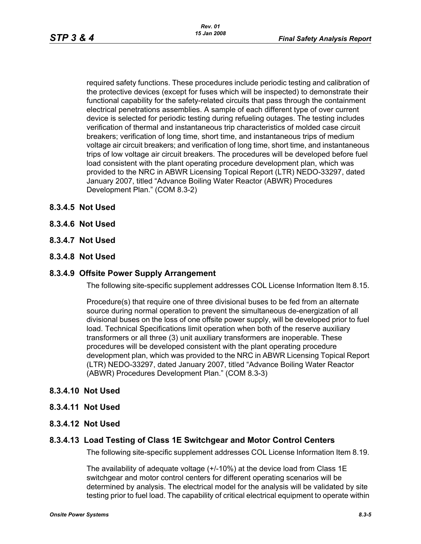required safety functions. These procedures include periodic testing and calibration of the protective devices (except for fuses which will be inspected) to demonstrate their functional capability for the safety-related circuits that pass through the containment electrical penetrations assemblies. A sample of each different type of over current device is selected for periodic testing during refueling outages. The testing includes verification of thermal and instantaneous trip characteristics of molded case circuit breakers; verification of long time, short time, and instantaneous trips of medium voltage air circuit breakers; and verification of long time, short time, and instantaneous trips of low voltage air circuit breakers. The procedures will be developed before fuel load consistent with the plant operating procedure development plan, which was provided to the NRC in ABWR Licensing Topical Report (LTR) NEDO-33297, dated January 2007, titled "Advance Boiling Water Reactor (ABWR) Procedures Development Plan." (COM 8.3-2)

- **8.3.4.5 Not Used**
- **8.3.4.6 Not Used**
- **8.3.4.7 Not Used**
- **8.3.4.8 Not Used**

#### **8.3.4.9 Offsite Power Supply Arrangement**

The following site-specific supplement addresses COL License Information Item 8.15.

Procedure(s) that require one of three divisional buses to be fed from an alternate source during normal operation to prevent the simultaneous de-energization of all divisional buses on the loss of one offsite power supply, will be developed prior to fuel load. Technical Specifications limit operation when both of the reserve auxiliary transformers or all three (3) unit auxiliary transformers are inoperable. These procedures will be developed consistent with the plant operating procedure development plan, which was provided to the NRC in ABWR Licensing Topical Report (LTR) NEDO-33297, dated January 2007, titled "Advance Boiling Water Reactor (ABWR) Procedures Development Plan." (COM 8.3-3)

#### **8.3.4.10 Not Used**

- **8.3.4.11 Not Used**
- **8.3.4.12 Not Used**

#### **8.3.4.13 Load Testing of Class 1E Switchgear and Motor Control Centers**

The following site-specific supplement addresses COL License Information Item 8.19.

The availability of adequate voltage (+/-10%) at the device load from Class 1E switchgear and motor control centers for different operating scenarios will be determined by analysis. The electrical model for the analysis will be validated by site testing prior to fuel load. The capability of critical electrical equipment to operate within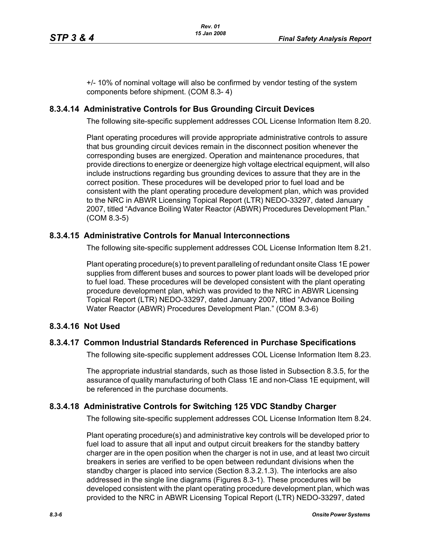+/- 10% of nominal voltage will also be confirmed by vendor testing of the system components before shipment. (COM 8.3- 4)

### **8.3.4.14 Administrative Controls for Bus Grounding Circuit Devices**

The following site-specific supplement addresses COL License Information Item 8.20.

Plant operating procedures will provide appropriate administrative controls to assure that bus grounding circuit devices remain in the disconnect position whenever the corresponding buses are energized. Operation and maintenance procedures, that provide directions to energize or deenergize high voltage electrical equipment, will also include instructions regarding bus grounding devices to assure that they are in the correct position. These procedures will be developed prior to fuel load and be consistent with the plant operating procedure development plan, which was provided to the NRC in ABWR Licensing Topical Report (LTR) NEDO-33297, dated January 2007, titled "Advance Boiling Water Reactor (ABWR) Procedures Development Plan." (COM 8.3-5)

### **8.3.4.15 Administrative Controls for Manual Interconnections**

The following site-specific supplement addresses COL License Information Item 8.21.

Plant operating procedure(s) to prevent paralleling of redundant onsite Class 1E power supplies from different buses and sources to power plant loads will be developed prior to fuel load. These procedures will be developed consistent with the plant operating procedure development plan, which was provided to the NRC in ABWR Licensing Topical Report (LTR) NEDO-33297, dated January 2007, titled "Advance Boiling Water Reactor (ABWR) Procedures Development Plan." (COM 8.3-6)

## **8.3.4.16 Not Used**

#### **8.3.4.17 Common Industrial Standards Referenced in Purchase Specifications**

The following site-specific supplement addresses COL License Information Item 8.23.

The appropriate industrial standards, such as those listed in Subsection 8.3.5, for the assurance of quality manufacturing of both Class 1E and non-Class 1E equipment, will be referenced in the purchase documents.

#### **8.3.4.18 Administrative Controls for Switching 125 VDC Standby Charger**

The following site-specific supplement addresses COL License Information Item 8.24.

Plant operating procedure(s) and administrative key controls will be developed prior to fuel load to assure that all input and output circuit breakers for the standby battery charger are in the open position when the charger is not in use, and at least two circuit breakers in series are verified to be open between redundant divisions when the standby charger is placed into service (Section 8.3.2.1.3). The interlocks are also addressed in the single line diagrams (Figures 8.3-1). These procedures will be developed consistent with the plant operating procedure development plan, which was provided to the NRC in ABWR Licensing Topical Report (LTR) NEDO-33297, dated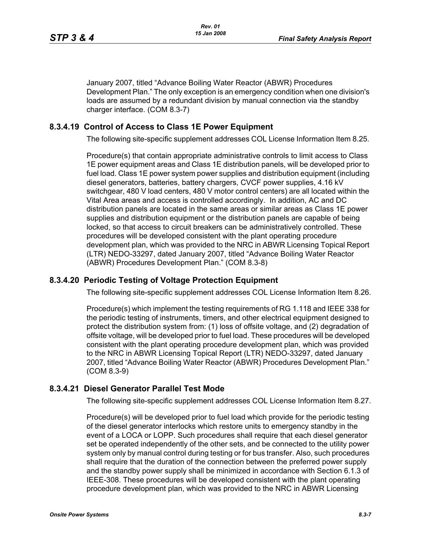January 2007, titled "Advance Boiling Water Reactor (ABWR) Procedures Development Plan." The only exception is an emergency condition when one division's loads are assumed by a redundant division by manual connection via the standby charger interface. (COM 8.3-7)

### **8.3.4.19 Control of Access to Class 1E Power Equipment**

The following site-specific supplement addresses COL License Information Item 8.25.

Procedure(s) that contain appropriate administrative controls to limit access to Class 1E power equipment areas and Class 1E distribution panels, will be developed prior to fuel load. Class 1E power system power supplies and distribution equipment (including diesel generators, batteries, battery chargers, CVCF power supplies, 4.16 kV switchgear, 480 V load centers, 480 V motor control centers) are all located within the Vital Area areas and access is controlled accordingly. In addition, AC and DC distribution panels are located in the same areas or similar areas as Class 1E power supplies and distribution equipment or the distribution panels are capable of being locked, so that access to circuit breakers can be administratively controlled. These procedures will be developed consistent with the plant operating procedure development plan, which was provided to the NRC in ABWR Licensing Topical Report (LTR) NEDO-33297, dated January 2007, titled "Advance Boiling Water Reactor (ABWR) Procedures Development Plan." (COM 8.3-8)

## **8.3.4.20 Periodic Testing of Voltage Protection Equipment**

The following site-specific supplement addresses COL License Information Item 8.26.

Procedure(s) which implement the testing requirements of RG 1.118 and IEEE 338 for the periodic testing of instruments, timers, and other electrical equipment designed to protect the distribution system from: (1) loss of offsite voltage, and (2) degradation of offsite voltage, will be developed prior to fuel load. These procedures will be developed consistent with the plant operating procedure development plan, which was provided to the NRC in ABWR Licensing Topical Report (LTR) NEDO-33297, dated January 2007, titled "Advance Boiling Water Reactor (ABWR) Procedures Development Plan." (COM 8.3-9)

#### **8.3.4.21 Diesel Generator Parallel Test Mode**

The following site-specific supplement addresses COL License Information Item 8.27.

Procedure(s) will be developed prior to fuel load which provide for the periodic testing of the diesel generator interlocks which restore units to emergency standby in the event of a LOCA or LOPP. Such procedures shall require that each diesel generator set be operated independently of the other sets, and be connected to the utility power system only by manual control during testing or for bus transfer. Also, such procedures shall require that the duration of the connection between the preferred power supply and the standby power supply shall be minimized in accordance with Section 6.1.3 of IEEE-308. These procedures will be developed consistent with the plant operating procedure development plan, which was provided to the NRC in ABWR Licensing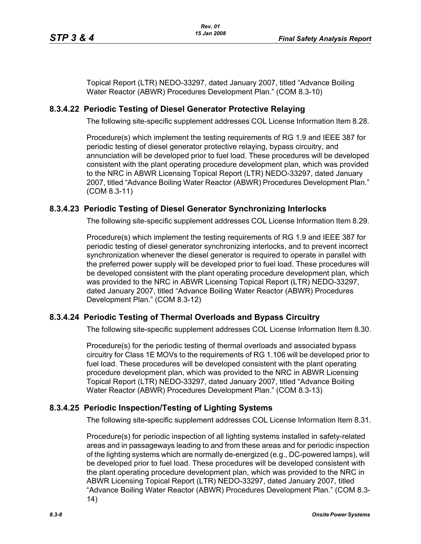Topical Report (LTR) NEDO-33297, dated January 2007, titled "Advance Boiling Water Reactor (ABWR) Procedures Development Plan." (COM 8.3-10)

## **8.3.4.22 Periodic Testing of Diesel Generator Protective Relaying**

The following site-specific supplement addresses COL License Information Item 8.28.

Procedure(s) which implement the testing requirements of RG 1.9 and IEEE 387 for periodic testing of diesel generator protective relaying, bypass circuitry, and annunciation will be developed prior to fuel load. These procedures will be developed consistent with the plant operating procedure development plan, which was provided to the NRC in ABWR Licensing Topical Report (LTR) NEDO-33297, dated January 2007, titled "Advance Boiling Water Reactor (ABWR) Procedures Development Plan." (COM 8.3-11)

## **8.3.4.23 Periodic Testing of Diesel Generator Synchronizing Interlocks**

The following site-specific supplement addresses COL License Information Item 8.29.

Procedure(s) which implement the testing requirements of RG 1.9 and IEEE 387 for periodic testing of diesel generator synchronizing interlocks, and to prevent incorrect synchronization whenever the diesel generator is required to operate in parallel with the preferred power supply will be developed prior to fuel load. These procedures will be developed consistent with the plant operating procedure development plan, which was provided to the NRC in ABWR Licensing Topical Report (LTR) NEDO-33297, dated January 2007, titled "Advance Boiling Water Reactor (ABWR) Procedures Development Plan." (COM 8.3-12)

## **8.3.4.24 Periodic Testing of Thermal Overloads and Bypass Circuitry**

The following site-specific supplement addresses COL License Information Item 8.30.

Procedure(s) for the periodic testing of thermal overloads and associated bypass circuitry for Class 1E MOVs to the requirements of RG 1.106 will be developed prior to fuel load. These procedures will be developed consistent with the plant operating procedure development plan, which was provided to the NRC in ABWR Licensing Topical Report (LTR) NEDO-33297, dated January 2007, titled "Advance Boiling Water Reactor (ABWR) Procedures Development Plan." (COM 8.3-13)

## **8.3.4.25 Periodic Inspection/Testing of Lighting Systems**

The following site-specific supplement addresses COL License Information Item 8.31.

Procedure(s) for periodic inspection of all lighting systems installed in safety-related areas and in passageways leading to and from these areas and for periodic inspection of the lighting systems which are normally de-energized (e.g., DC-powered lamps), will be developed prior to fuel load. These procedures will be developed consistent with the plant operating procedure development plan, which was provided to the NRC in ABWR Licensing Topical Report (LTR) NEDO-33297, dated January 2007, titled "Advance Boiling Water Reactor (ABWR) Procedures Development Plan." (COM 8.3- 14)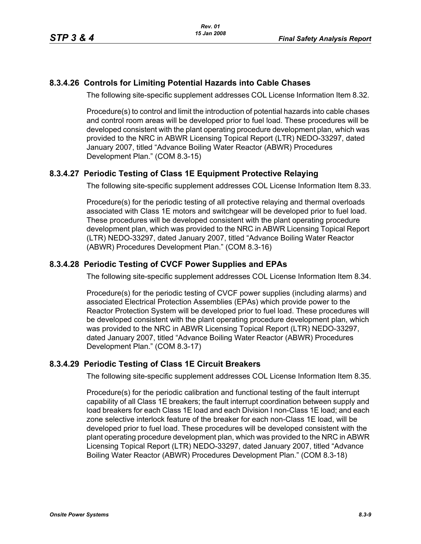### **8.3.4.26 Controls for Limiting Potential Hazards into Cable Chases**

The following site-specific supplement addresses COL License Information Item 8.32.

Procedure(s) to control and limit the introduction of potential hazards into cable chases and control room areas will be developed prior to fuel load. These procedures will be developed consistent with the plant operating procedure development plan, which was provided to the NRC in ABWR Licensing Topical Report (LTR) NEDO-33297, dated January 2007, titled "Advance Boiling Water Reactor (ABWR) Procedures Development Plan." (COM 8.3-15)

## **8.3.4.27 Periodic Testing of Class 1E Equipment Protective Relaying**

The following site-specific supplement addresses COL License Information Item 8.33.

Procedure(s) for the periodic testing of all protective relaying and thermal overloads associated with Class 1E motors and switchgear will be developed prior to fuel load. These procedures will be developed consistent with the plant operating procedure development plan, which was provided to the NRC in ABWR Licensing Topical Report (LTR) NEDO-33297, dated January 2007, titled "Advance Boiling Water Reactor (ABWR) Procedures Development Plan." (COM 8.3-16)

### **8.3.4.28 Periodic Testing of CVCF Power Supplies and EPAs**

The following site-specific supplement addresses COL License Information Item 8.34.

Procedure(s) for the periodic testing of CVCF power supplies (including alarms) and associated Electrical Protection Assemblies (EPAs) which provide power to the Reactor Protection System will be developed prior to fuel load. These procedures will be developed consistent with the plant operating procedure development plan, which was provided to the NRC in ABWR Licensing Topical Report (LTR) NEDO-33297, dated January 2007, titled "Advance Boiling Water Reactor (ABWR) Procedures Development Plan." (COM 8.3-17)

### **8.3.4.29 Periodic Testing of Class 1E Circuit Breakers**

The following site-specific supplement addresses COL License Information Item 8.35.

Procedure(s) for the periodic calibration and functional testing of the fault interrupt capability of all Class 1E breakers; the fault interrupt coordination between supply and load breakers for each Class 1E load and each Division I non-Class 1E load; and each zone selective interlock feature of the breaker for each non-Class 1E load, will be developed prior to fuel load. These procedures will be developed consistent with the plant operating procedure development plan, which was provided to the NRC in ABWR Licensing Topical Report (LTR) NEDO-33297, dated January 2007, titled "Advance Boiling Water Reactor (ABWR) Procedures Development Plan." (COM 8.3-18)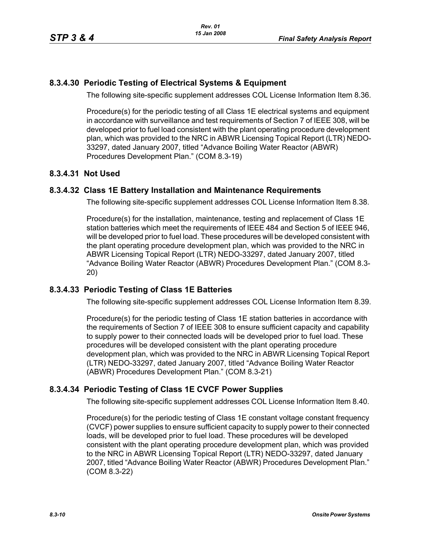# **8.3.4.30 Periodic Testing of Electrical Systems & Equipment**

The following site-specific supplement addresses COL License Information Item 8.36.

Procedure(s) for the periodic testing of all Class 1E electrical systems and equipment in accordance with surveillance and test requirements of Section 7 of IEEE 308, will be developed prior to fuel load consistent with the plant operating procedure development plan, which was provided to the NRC in ABWR Licensing Topical Report (LTR) NEDO-33297, dated January 2007, titled "Advance Boiling Water Reactor (ABWR) Procedures Development Plan." (COM 8.3-19)

## **8.3.4.31 Not Used**

### **8.3.4.32 Class 1E Battery Installation and Maintenance Requirements**

The following site-specific supplement addresses COL License Information Item 8.38.

Procedure(s) for the installation, maintenance, testing and replacement of Class 1E station batteries which meet the requirements of IEEE 484 and Section 5 of IEEE 946, will be developed prior to fuel load. These procedures will be developed consistent with the plant operating procedure development plan, which was provided to the NRC in ABWR Licensing Topical Report (LTR) NEDO-33297, dated January 2007, titled "Advance Boiling Water Reactor (ABWR) Procedures Development Plan." (COM 8.3- 20)

## **8.3.4.33 Periodic Testing of Class 1E Batteries**

The following site-specific supplement addresses COL License Information Item 8.39.

Procedure(s) for the periodic testing of Class 1E station batteries in accordance with the requirements of Section 7 of IEEE 308 to ensure sufficient capacity and capability to supply power to their connected loads will be developed prior to fuel load. These procedures will be developed consistent with the plant operating procedure development plan, which was provided to the NRC in ABWR Licensing Topical Report (LTR) NEDO-33297, dated January 2007, titled "Advance Boiling Water Reactor (ABWR) Procedures Development Plan." (COM 8.3-21)

## **8.3.4.34 Periodic Testing of Class 1E CVCF Power Supplies**

The following site-specific supplement addresses COL License Information Item 8.40.

Procedure(s) for the periodic testing of Class 1E constant voltage constant frequency (CVCF) power supplies to ensure sufficient capacity to supply power to their connected loads, will be developed prior to fuel load. These procedures will be developed consistent with the plant operating procedure development plan, which was provided to the NRC in ABWR Licensing Topical Report (LTR) NEDO-33297, dated January 2007, titled "Advance Boiling Water Reactor (ABWR) Procedures Development Plan." (COM 8.3-22)